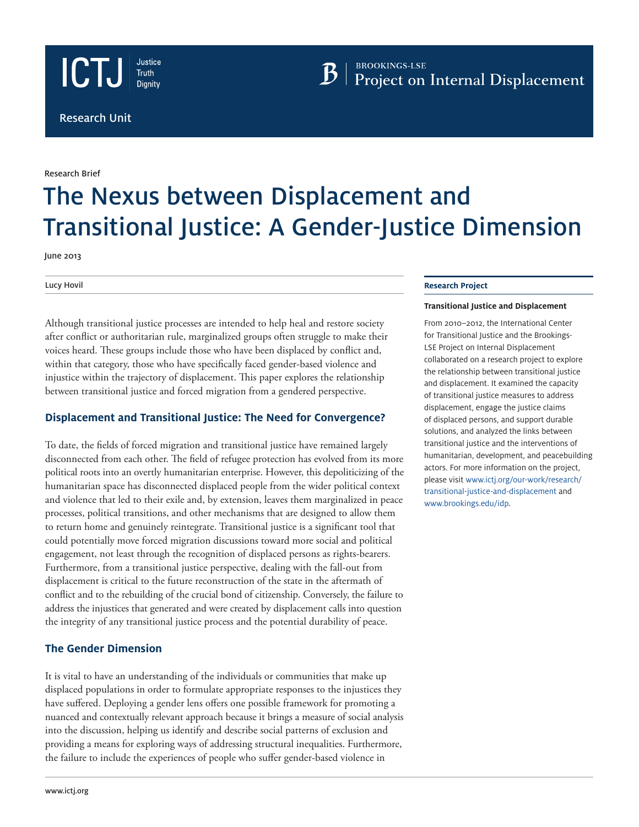



**BROOKINGS-LSE** 

Research Brief

# The Nexus between Displacement and Transitional Justice: A Gender-Justice Dimension

June 2013

Lucy Hovil

Although transitional justice processes are intended to help heal and restore society after conflict or authoritarian rule, marginalized groups often struggle to make their voices heard. These groups include those who have been displaced by conflict and, within that category, those who have specifically faced gender-based violence and injustice within the trajectory of displacement. This paper explores the relationship between transitional justice and forced migration from a gendered perspective.

## **Displacement and Transitional Justice: The Need for Convergence?**

To date, the fields of forced migration and transitional justice have remained largely disconnected from each other. The field of refugee protection has evolved from its more political roots into an overtly humanitarian enterprise. However, this depoliticizing of the humanitarian space has disconnected displaced people from the wider political context and violence that led to their exile and, by extension, leaves them marginalized in peace processes, political transitions, and other mechanisms that are designed to allow them to return home and genuinely reintegrate. Transitional justice is a significant tool that could potentially move forced migration discussions toward more social and political engagement, not least through the recognition of displaced persons as rights-bearers. Furthermore, from a transitional justice perspective, dealing with the fall-out from displacement is critical to the future reconstruction of the state in the aftermath of conflict and to the rebuilding of the crucial bond of citizenship. Conversely, the failure to address the injustices that generated and were created by displacement calls into question the integrity of any transitional justice process and the potential durability of peace.

### **The Gender Dimension**

It is vital to have an understanding of the individuals or communities that make up displaced populations in order to formulate appropriate responses to the injustices they have suffered. Deploying a gender lens offers one possible framework for promoting a nuanced and contextually relevant approach because it brings a measure of social analysis into the discussion, helping us identify and describe social patterns of exclusion and providing a means for exploring ways of addressing structural inequalities. Furthermore, the failure to include the experiences of people who suffer gender-based violence in

#### **Research Project**

#### **Transitional Justice and Displacement**

From 2010–2012, the International Center for Transitional Justice and the Brookings-LSE Project on Internal Displacement collaborated on a research project to explore the relationship between transitional justice and displacement. It examined the capacity of transitional justice measures to address displacement, engage the justice claims of displaced persons, and support durable solutions, and analyzed the links between transitional justice and the interventions of humanitarian, development, and peacebuilding actors. For more information on the project, please visit www[.ictj.org/our-work/research/](http://ictj.org/our-work/research/transitional-justice-and-displacement) [transitional-justice-and-displacement](http://ictj.org/our-work/research/transitional-justice-and-displacement) and [www.brookings.edu/idp.](http://www.brookings.edu/idp)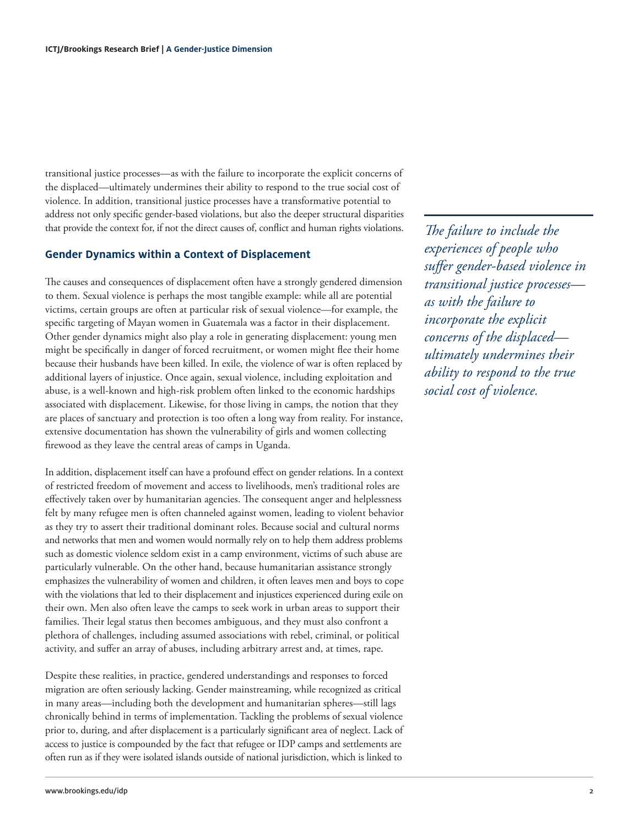transitional justice processes—as with the failure to incorporate the explicit concerns of the displaced—ultimately undermines their ability to respond to the true social cost of violence. In addition, transitional justice processes have a transformative potential to address not only specific gender-based violations, but also the deeper structural disparities that provide the context for, if not the direct causes of, conflict and human rights violations.

#### **Gender Dynamics within a Context of Displacement**

The causes and consequences of displacement often have a strongly gendered dimension to them. Sexual violence is perhaps the most tangible example: while all are potential victims, certain groups are often at particular risk of sexual violence—for example, the specific targeting of Mayan women in Guatemala was a factor in their displacement. Other gender dynamics might also play a role in generating displacement: young men might be specifically in danger of forced recruitment, or women might flee their home because their husbands have been killed. In exile, the violence of war is often replaced by additional layers of injustice. Once again, sexual violence, including exploitation and abuse, is a well-known and high-risk problem often linked to the economic hardships associated with displacement. Likewise, for those living in camps, the notion that they are places of sanctuary and protection is too often a long way from reality. For instance, extensive documentation has shown the vulnerability of girls and women collecting firewood as they leave the central areas of camps in Uganda.

In addition, displacement itself can have a profound effect on gender relations. In a context of restricted freedom of movement and access to livelihoods, men's traditional roles are effectively taken over by humanitarian agencies. The consequent anger and helplessness felt by many refugee men is often channeled against women, leading to violent behavior as they try to assert their traditional dominant roles. Because social and cultural norms and networks that men and women would normally rely on to help them address problems such as domestic violence seldom exist in a camp environment, victims of such abuse are particularly vulnerable. On the other hand, because humanitarian assistance strongly emphasizes the vulnerability of women and children, it often leaves men and boys to cope with the violations that led to their displacement and injustices experienced during exile on their own. Men also often leave the camps to seek work in urban areas to support their families. Their legal status then becomes ambiguous, and they must also confront a plethora of challenges, including assumed associations with rebel, criminal, or political activity, and suffer an array of abuses, including arbitrary arrest and, at times, rape.

Despite these realities, in practice, gendered understandings and responses to forced migration are often seriously lacking. Gender mainstreaming, while recognized as critical in many areas—including both the development and humanitarian spheres—still lags chronically behind in terms of implementation. Tackling the problems of sexual violence prior to, during, and after displacement is a particularly significant area of neglect. Lack of access to justice is compounded by the fact that refugee or IDP camps and settlements are often run as if they were isolated islands outside of national jurisdiction, which is linked to

*The failure to include the experiences of people who suffer gender-based violence in transitional justice processes as with the failure to incorporate the explicit concerns of the displaced ultimately undermines their ability to respond to the true social cost of violence.*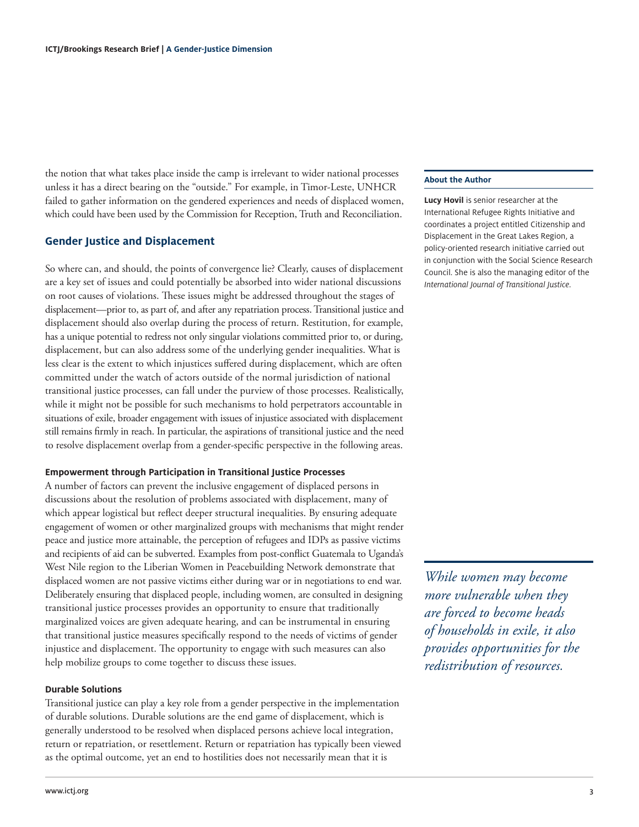the notion that what takes place inside the camp is irrelevant to wider national processes unless it has a direct bearing on the "outside." For example, in Timor-Leste, UNHCR failed to gather information on the gendered experiences and needs of displaced women, which could have been used by the Commission for Reception, Truth and Reconciliation.

#### **Gender Justice and Displacement**

So where can, and should, the points of convergence lie? Clearly, causes of displacement are a key set of issues and could potentially be absorbed into wider national discussions on root causes of violations. These issues might be addressed throughout the stages of displacement—prior to, as part of, and after any repatriation process. Transitional justice and displacement should also overlap during the process of return. Restitution, for example, has a unique potential to redress not only singular violations committed prior to, or during, displacement, but can also address some of the underlying gender inequalities. What is less clear is the extent to which injustices suffered during displacement, which are often committed under the watch of actors outside of the normal jurisdiction of national transitional justice processes, can fall under the purview of those processes. Realistically, while it might not be possible for such mechanisms to hold perpetrators accountable in situations of exile, broader engagement with issues of injustice associated with displacement still remains firmly in reach. In particular, the aspirations of transitional justice and the need to resolve displacement overlap from a gender-specific perspective in the following areas.

#### **Empowerment through Participation in Transitional Justice Processes**

A number of factors can prevent the inclusive engagement of displaced persons in discussions about the resolution of problems associated with displacement, many of which appear logistical but reflect deeper structural inequalities. By ensuring adequate engagement of women or other marginalized groups with mechanisms that might render peace and justice more attainable, the perception of refugees and IDPs as passive victims and recipients of aid can be subverted. Examples from post-conflict Guatemala to Uganda's West Nile region to the Liberian Women in Peacebuilding Network demonstrate that displaced women are not passive victims either during war or in negotiations to end war. Deliberately ensuring that displaced people, including women, are consulted in designing transitional justice processes provides an opportunity to ensure that traditionally marginalized voices are given adequate hearing, and can be instrumental in ensuring that transitional justice measures specifically respond to the needs of victims of gender injustice and displacement. The opportunity to engage with such measures can also help mobilize groups to come together to discuss these issues.

#### **Durable Solutions**

Transitional justice can play a key role from a gender perspective in the implementation of durable solutions. Durable solutions are the end game of displacement, which is generally understood to be resolved when displaced persons achieve local integration, return or repatriation, or resettlement. Return or repatriation has typically been viewed as the optimal outcome, yet an end to hostilities does not necessarily mean that it is

#### **About the Author**

**Lucy Hovil** is senior researcher at the International Refugee Rights Initiative and coordinates a project entitled Citizenship and Displacement in the Great Lakes Region, a policy-oriented research initiative carried out in conjunction with the Social Science Research Council. She is also the managing editor of the *International Journal of Transitional Justice*.

*While women may become more vulnerable when they are forced to become heads of households in exile, it also provides opportunities for the redistribution of resources.*